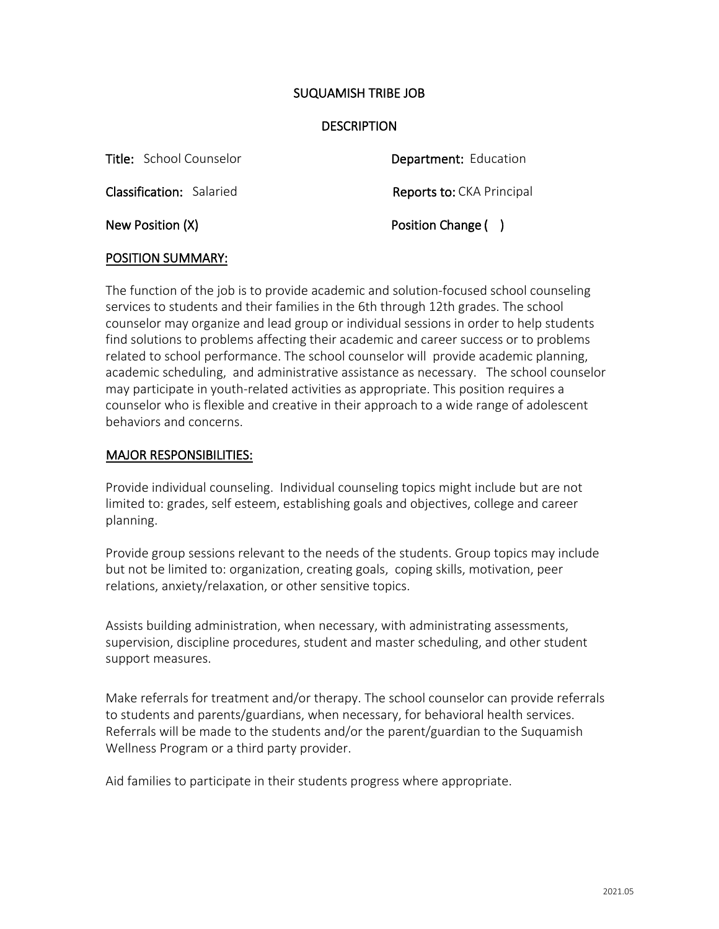## SUQUAMISH TRIBE JOB

### **DESCRIPTION**

Department: Education Reports to: CKA Principal Position Change () Title: School Counselor Classification: Salaried New Position (X)

#### POSITION SUMMARY:

The function of the job is to provide academic and solution-focused school counseling services to students and their families in the 6th through 12th grades. The school counselor may organize and lead group or individual sessions in order to help students find solutions to problems affecting their academic and career success or to problems related to school performance. The school counselor will provide academic planning, academic scheduling, and administrative assistance as necessary. The school counselor may participate in youth-related activities as appropriate. This position requires a counselor who is flexible and creative in their approach to a wide range of adolescent behaviors and concerns.

#### MAJOR RESPONSIBILITIES:

Provide individual counseling. Individual counseling topics might include but are not limited to: grades, self esteem, establishing goals and objectives, college and career planning.

Provide group sessions relevant to the needs of the students. Group topics may include but not be limited to: organization, creating goals, coping skills, motivation, peer relations, anxiety/relaxation, or other sensitive topics.

Assists building administration, when necessary, with administrating assessments, supervision, discipline procedures, student and master scheduling, and other student support measures.

Make referrals for treatment and/or therapy. The school counselor can provide referrals to students and parents/guardians, when necessary, for behavioral health services. Referrals will be made to the students and/or the parent/guardian to the Suquamish Wellness Program or a third party provider.

Aid families to participate in their students progress where appropriate.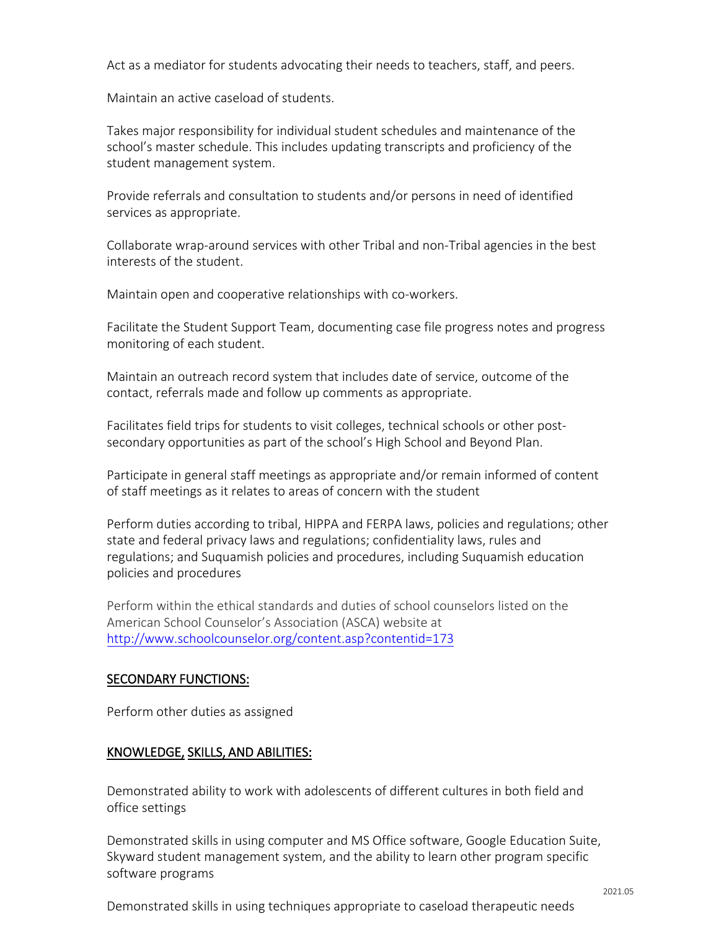Act as a mediator for students advocating their needs to teachers, staff, and peers.

Maintain an active caseload of students.

Takes major responsibility for individual student schedules and maintenance of the school's master schedule. This includes updating transcripts and proficiency of the student management system.

Provide referrals and consultation to students and/or persons in need of identified services as appropriate.

Collaborate wrap-around services with other Tribal and non-Tribal agencies in the best interests of the student.

Maintain open and cooperative relationships with co-workers.

Facilitate the Student Support Team, documenting case file progress notes and progress monitoring of each student.

Maintain an outreach record system that includes date of service, outcome of the contact, referrals made and follow up comments as appropriate.

Facilitates field trips for students to visit colleges, technical schools or other postsecondary opportunities as part of the school's High School and Beyond Plan.

Participate in general staff meetings as appropriate and/or remain informed of content of staff meetings as it relates to areas of concern with the student

Perform duties according to tribal, HIPPA and FERPA laws, policies and regulations; other state and federal privacy laws and regulations; confidentiality laws, rules and regulations; and Suquamish policies and procedures, including Suquamish education policies and procedures

[Perform within the ethical standards and duties of school co](http://www.schoolcounselor.org/content.asp?contentid=173)unselors listed on the American School Counselor's Association (ASCA) website at http://www.schoolcounselor.org/content.asp?contentid=173

# SECONDARY FUNCTIONS:

Perform other duties as assigned

# KNOWLEDGE, SKILLS, AND ABILITIES:

Demonstrated ability to work with adolescents of different cultures in both field and office settings

Demonstrated skills in using computer and MS Office software, Google Education Suite, Skyward student management system, and the ability to learn other program specific software programs

Demonstrated skills in using techniques appropriate to caseload therapeutic needs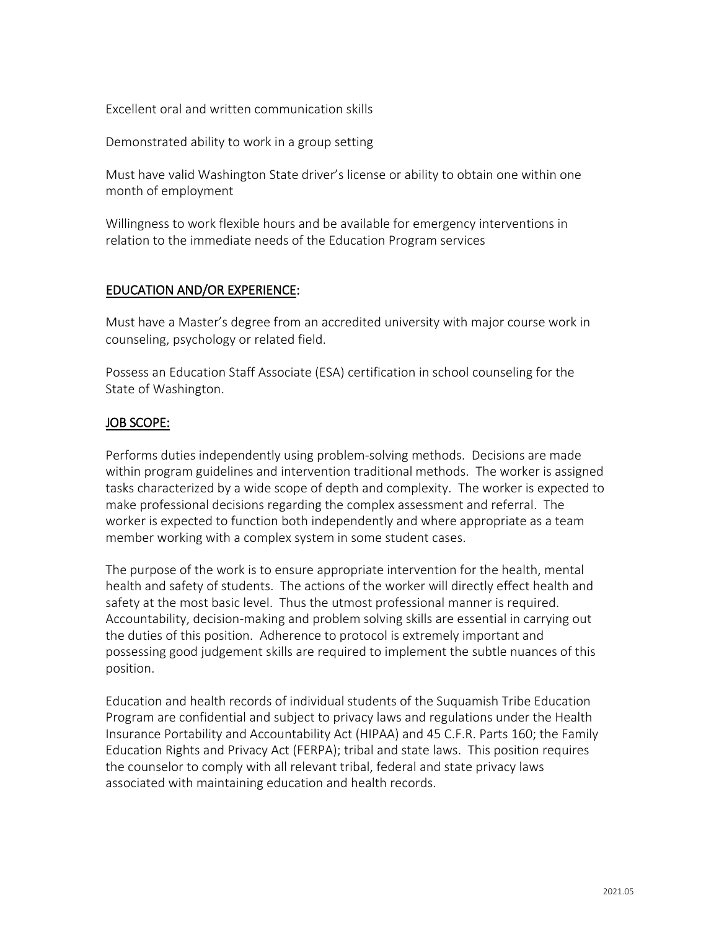Excellent oral and written communication skills

Demonstrated ability to work in a group setting

Must have valid Washington State driver's license or ability to obtain one within one month of employment

Willingness to work flexible hours and be available for emergency interventions in relation to the immediate needs of the Education Program services

## EDUCATION AND/OR EXPERIENCE:

Must have a Master's degree from an accredited university with major course work in counseling, psychology or related field.

Possess an Education Staff Associate (ESA) certification in school counseling for the State of Washington.

## JOB SCOPE:

Performs duties independently using problem-solving methods. Decisions are made within program guidelines and intervention traditional methods. The worker is assigned tasks characterized by a wide scope of depth and complexity. The worker is expected to make professional decisions regarding the complex assessment and referral. The worker is expected to function both independently and where appropriate as a team member working with a complex system in some student cases.

The purpose of the work is to ensure appropriate intervention for the health, mental health and safety of students. The actions of the worker will directly effect health and safety at the most basic level. Thus the utmost professional manner is required. Accountability, decision-making and problem solving skills are essential in carrying out the duties of this position. Adherence to protocol is extremely important and possessing good judgement skills are required to implement the subtle nuances of this position.

Education and health records of individual students of the Suquamish Tribe Education Program are confidential and subject to privacy laws and regulations under the Health Insurance Portability and Accountability Act (HIPAA) and 45 C.F.R. Parts 160; the Family Education Rights and Privacy Act (FERPA); tribal and state laws. This position requires the counselor to comply with all relevant tribal, federal and state privacy laws associated with maintaining education and health records.